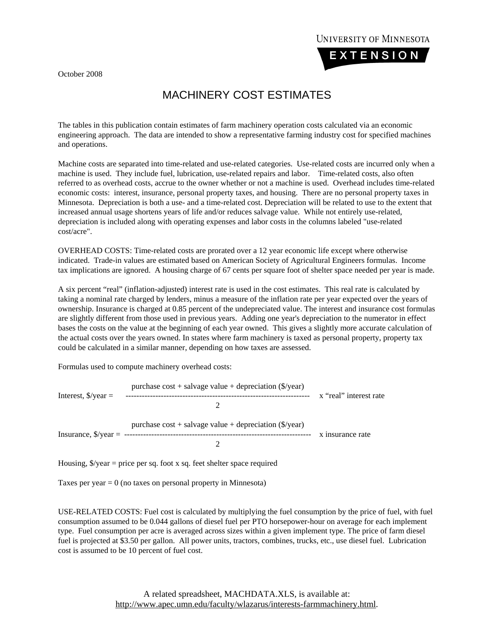October 2008



## MACHINERY COST ESTIMATES

The tables in this publication contain estimates of farm machinery operation costs calculated via an economic engineering approach. The data are intended to show a representative farming industry cost for specified machines and operations.

Machine costs are separated into time-related and use-related categories. Use-related costs are incurred only when a machine is used. They include fuel, lubrication, use-related repairs and labor. Time-related costs, also often referred to as overhead costs, accrue to the owner whether or not a machine is used. Overhead includes time-related economic costs: interest, insurance, personal property taxes, and housing. There are no personal property taxes in Minnesota. Depreciation is both a use- and a time-related cost. Depreciation will be related to use to the extent that increased annual usage shortens years of life and/or reduces salvage value. While not entirely use-related, depreciation is included along with operating expenses and labor costs in the columns labeled "use-related cost/acre".

OVERHEAD COSTS: Time-related costs are prorated over a 12 year economic life except where otherwise indicated. Trade-in values are estimated based on American Society of Agricultural Engineers formulas. Income tax implications are ignored. A housing charge of 67 cents per square foot of shelter space needed per year is made.

A six percent "real" (inflation-adjusted) interest rate is used in the cost estimates. This real rate is calculated by taking a nominal rate charged by lenders, minus a measure of the inflation rate per year expected over the years of ownership. Insurance is charged at 0.85 percent of the undepreciated value. The interest and insurance cost formulas are slightly different from those used in previous years. Adding one year's depreciation to the numerator in effect bases the costs on the value at the beginning of each year owned. This gives a slightly more accurate calculation of the actual costs over the years owned. In states where farm machinery is taxed as personal property, property tax could be calculated in a similar manner, depending on how taxes are assessed.

Formulas used to compute machinery overhead costs:

 purchase cost + salvage value + depreciation (\$/year) Interest, \$/year = -------------------------------------------------------------------- x "real" interest rate 2 purchase cost + salvage value + depreciation (\$/year) Insurance, \$/year = --------------------------------------------------------------------- x insurance rate 2

Housing,  $\sqrt{s}$ /year = price per sq. foot x sq. feet shelter space required

Taxes per year  $= 0$  (no taxes on personal property in Minnesota)

USE-RELATED COSTS: Fuel cost is calculated by multiplying the fuel consumption by the price of fuel, with fuel consumption assumed to be 0.044 gallons of diesel fuel per PTO horsepower-hour on average for each implement type. Fuel consumption per acre is averaged across sizes within a given implement type. The price of farm diesel fuel is projected at \$3.50 per gallon. All power units, tractors, combines, trucks, etc., use diesel fuel. Lubrication cost is assumed to be 10 percent of fuel cost.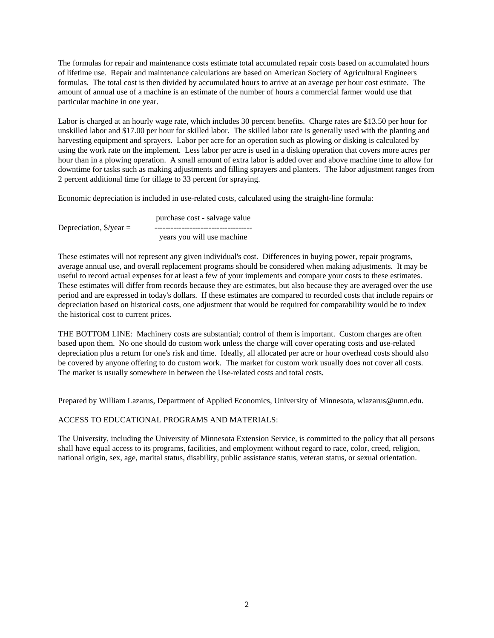The formulas for repair and maintenance costs estimate total accumulated repair costs based on accumulated hours of lifetime use. Repair and maintenance calculations are based on American Society of Agricultural Engineers formulas. The total cost is then divided by accumulated hours to arrive at an average per hour cost estimate. The amount of annual use of a machine is an estimate of the number of hours a commercial farmer would use that particular machine in one year.

Labor is charged at an hourly wage rate, which includes 30 percent benefits. Charge rates are \$13.50 per hour for unskilled labor and \$17.00 per hour for skilled labor. The skilled labor rate is generally used with the planting and harvesting equipment and sprayers. Labor per acre for an operation such as plowing or disking is calculated by using the work rate on the implement. Less labor per acre is used in a disking operation that covers more acres per hour than in a plowing operation. A small amount of extra labor is added over and above machine time to allow for downtime for tasks such as making adjustments and filling sprayers and planters. The labor adjustment ranges from 2 percent additional time for tillage to 33 percent for spraying.

Economic depreciation is included in use-related costs, calculated using the straight-line formula:

|                                    | purchase cost - salvage value |
|------------------------------------|-------------------------------|
| Depreciation, $\frac{9}{2}$ year = |                               |
|                                    | years you will use machine    |

These estimates will not represent any given individual's cost. Differences in buying power, repair programs, average annual use, and overall replacement programs should be considered when making adjustments. It may be useful to record actual expenses for at least a few of your implements and compare your costs to these estimates. These estimates will differ from records because they are estimates, but also because they are averaged over the use period and are expressed in today's dollars. If these estimates are compared to recorded costs that include repairs or depreciation based on historical costs, one adjustment that would be required for comparability would be to index the historical cost to current prices.

THE BOTTOM LINE: Machinery costs are substantial; control of them is important. Custom charges are often based upon them. No one should do custom work unless the charge will cover operating costs and use-related depreciation plus a return for one's risk and time. Ideally, all allocated per acre or hour overhead costs should also be covered by anyone offering to do custom work. The market for custom work usually does not cover all costs. The market is usually somewhere in between the Use-related costs and total costs.

Prepared by William Lazarus, Department of Applied Economics, University of Minnesota, wlazarus@umn.edu.

## ACCESS TO EDUCATIONAL PROGRAMS AND MATERIALS:

The University, including the University of Minnesota Extension Service, is committed to the policy that all persons shall have equal access to its programs, facilities, and employment without regard to race, color, creed, religion, national origin, sex, age, marital status, disability, public assistance status, veteran status, or sexual orientation.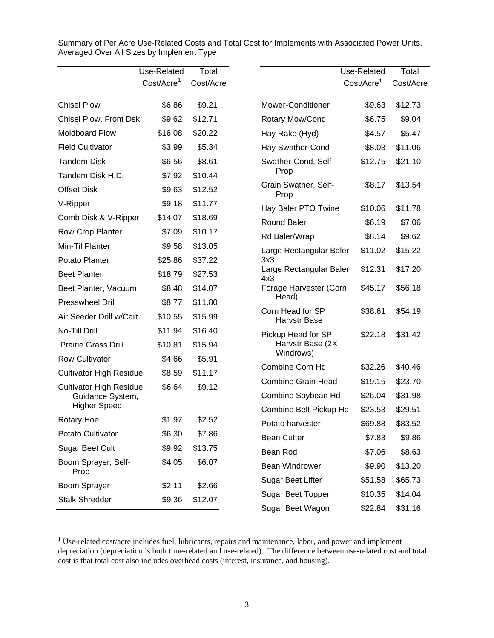|                                         | Use-Related            | Total     |                                               | Use-Related            | Total              |
|-----------------------------------------|------------------------|-----------|-----------------------------------------------|------------------------|--------------------|
|                                         | Cost/Acre <sup>1</sup> | Cost/Acre |                                               | Cost/Acre <sup>1</sup> | Cost/Acre          |
| <b>Chisel Plow</b>                      | \$6.86                 | \$9.21    | Mower-Conditioner                             | \$9.63                 | \$12.73            |
| Chisel Plow, Front Dsk                  | \$9.62                 | \$12.71   | Rotary Mow/Cond                               | \$6.75                 | \$9.04             |
| <b>Moldboard Plow</b>                   | \$16.08                | \$20.22   | Hay Rake (Hyd)                                | \$4.57                 | \$5.47             |
| <b>Field Cultivator</b>                 | \$3.99                 | \$5.34    | Hay Swather-Cond                              | \$8.03                 | \$11.06            |
| <b>Tandem Disk</b>                      | \$6.56                 | \$8.61    | Swather-Cond, Self-                           | \$12.75                | \$21.10            |
| Tandem Disk H.D.                        | \$7.92                 | \$10.44   | Prop                                          |                        |                    |
| <b>Offset Disk</b>                      | \$9.63                 | \$12.52   | Grain Swather, Self-<br>Prop                  | \$8.17                 | \$13.54            |
| V-Ripper                                | \$9.18                 | \$11.77   | Hay Baler PTO Twine                           | \$10.06                | \$11.78            |
| Comb Disk & V-Ripper                    | \$14.07                | \$18.69   | <b>Round Baler</b>                            | \$6.19                 | \$7.06             |
| Row Crop Planter                        | \$7.09                 | \$10.17   | Rd Baler/Wrap                                 | \$8.14                 | \$9.62             |
| Min-Til Planter                         | \$9.58                 | \$13.05   | Large Rectangular Baler                       | \$11.02                | \$15.22            |
| Potato Planter                          | \$25.86                | \$37.22   | 3x3                                           |                        |                    |
| <b>Beet Planter</b>                     | \$18.79                | \$27.53   | Large Rectangular Baler<br>4x3                | \$12.31                | \$17.20            |
| Beet Planter, Vacuum                    | \$8.48                 | \$14.07   | Forage Harvester (Corn                        | \$45.17                | \$56.18            |
| <b>Presswheel Drill</b>                 | \$8.77                 | \$11.80   | Head)                                         |                        |                    |
| Air Seeder Drill w/Cart                 | \$10.55                | \$15.99   | Corn Head for SP<br><b>Harvstr Base</b>       | \$38.61                | \$54.19            |
| No-Till Drill                           | \$11.94                | \$16.40   | Pickup Head for SP                            | \$22.18                | \$31.42            |
| <b>Prairie Grass Drill</b>              | \$10.81                | \$15.94   | Harvstr Base (2X                              |                        |                    |
| <b>Row Cultivator</b>                   | \$4.66                 | \$5.91    | Windrows)                                     |                        |                    |
| <b>Cultivator High Residue</b>          | \$8.59                 | \$11.17   | Combine Corn Hd                               | \$32.26                | \$40.46            |
| Cultivator High Residue,                | \$6.64                 | \$9.12    | <b>Combine Grain Head</b>                     | \$19.15                | \$23.70            |
| Guidance System,<br><b>Higher Speed</b> |                        |           | Combine Soybean Hd                            | \$26.04                | \$31.98            |
| <b>Rotary Hoe</b>                       | \$1.97                 | \$2.52    | Combine Belt Pickup Hd                        | \$23.53                | \$29.51            |
| Potato Cultivator                       | \$6.30                 | \$7.86    | Potato harvester                              | \$69.88                | \$83.52            |
| Sugar Beet Cult                         | \$9.92                 | \$13.75   | <b>Bean Cutter</b>                            | \$7.83                 | \$9.86             |
| Boom Sprayer, Self-                     | \$4.05                 | \$6.07    | Bean Rod<br>Bean Windrower                    | \$7.06                 | \$8.63             |
| Prop                                    |                        |           |                                               | \$9.90                 | \$13.20            |
| Boom Sprayer                            | \$2.11                 | \$2.66    | Sugar Beet Lifter<br><b>Sugar Beet Topper</b> | \$51.58<br>\$10.35     | \$65.73<br>\$14.04 |
| <b>Stalk Shredder</b>                   | \$9.36                 |           |                                               | \$31.16                |                    |
|                                         |                        |           | Sugar Beet Wagon                              | \$22.84                |                    |

Summary of Per Acre Use-Related Costs and Total Cost for Implements with Associated Power Units, Averaged Over All Sizes by Implement Type

 $1$  Use-related cost/acre includes fuel, lubricants, repairs and maintenance, labor, and power and implement depreciation (depreciation is both time-related and use-related). The difference between use-related cost and total cost is that total cost also includes overhead costs (interest, insurance, and housing).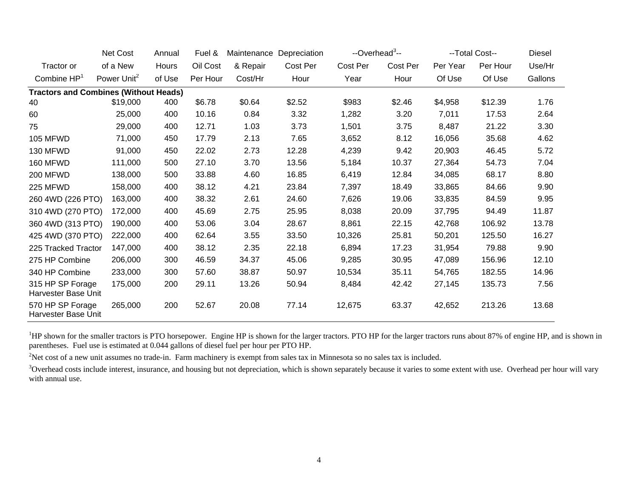|                                              | Net Cost                | Annual | Fuel &   | Maintenance | Depreciation | --Overhead <sup>3</sup> -- |          |          | --Total Cost-- | Diesel  |
|----------------------------------------------|-------------------------|--------|----------|-------------|--------------|----------------------------|----------|----------|----------------|---------|
| Tractor or                                   | of a New                | Hours  | Oil Cost | & Repair    | Cost Per     | Cost Per                   | Cost Per | Per Year | Per Hour       | Use/Hr  |
| Combine HP <sup>1</sup>                      | Power Unit <sup>2</sup> | of Use | Per Hour | Cost/Hr     | Hour         | Year                       | Hour     | Of Use   | Of Use         | Gallons |
| <b>Tractors and Combines (Without Heads)</b> |                         |        |          |             |              |                            |          |          |                |         |
| 40                                           | \$19,000                | 400    | \$6.78   | \$0.64      | \$2.52       | \$983                      | \$2.46   | \$4,958  | \$12.39        | 1.76    |
| 60                                           | 25,000                  | 400    | 10.16    | 0.84        | 3.32         | 1,282                      | 3.20     | 7,011    | 17.53          | 2.64    |
| 75                                           | 29,000                  | 400    | 12.71    | 1.03        | 3.73         | 1,501                      | 3.75     | 8,487    | 21.22          | 3.30    |
| <b>105 MFWD</b>                              | 71,000                  | 450    | 17.79    | 2.13        | 7.65         | 3,652                      | 8.12     | 16,056   | 35.68          | 4.62    |
| 130 MFWD                                     | 91,000                  | 450    | 22.02    | 2.73        | 12.28        | 4,239                      | 9.42     | 20,903   | 46.45          | 5.72    |
| 160 MFWD                                     | 111,000                 | 500    | 27.10    | 3.70        | 13.56        | 5,184                      | 10.37    | 27,364   | 54.73          | 7.04    |
| <b>200 MFWD</b>                              | 138,000                 | 500    | 33.88    | 4.60        | 16.85        | 6,419                      | 12.84    | 34,085   | 68.17          | 8.80    |
| 225 MFWD                                     | 158,000                 | 400    | 38.12    | 4.21        | 23.84        | 7,397                      | 18.49    | 33,865   | 84.66          | 9.90    |
| 260 4WD (226 PTO)                            | 163,000                 | 400    | 38.32    | 2.61        | 24.60        | 7,626                      | 19.06    | 33,835   | 84.59          | 9.95    |
| 310 4WD (270 PTO)                            | 172,000                 | 400    | 45.69    | 2.75        | 25.95        | 8,038                      | 20.09    | 37,795   | 94.49          | 11.87   |
| 360 4WD (313 PTO)                            | 190,000                 | 400    | 53.06    | 3.04        | 28.67        | 8,861                      | 22.15    | 42,768   | 106.92         | 13.78   |
| 425 4WD (370 PTO)                            | 222,000                 | 400    | 62.64    | 3.55        | 33.50        | 10,326                     | 25.81    | 50,201   | 125.50         | 16.27   |
| 225 Tracked Tractor                          | 147,000                 | 400    | 38.12    | 2.35        | 22.18        | 6,894                      | 17.23    | 31,954   | 79.88          | 9.90    |
| 275 HP Combine                               | 206,000                 | 300    | 46.59    | 34.37       | 45.06        | 9,285                      | 30.95    | 47,089   | 156.96         | 12.10   |
| 340 HP Combine                               | 233,000                 | 300    | 57.60    | 38.87       | 50.97        | 10,534                     | 35.11    | 54,765   | 182.55         | 14.96   |
| 315 HP SP Forage<br>Harvester Base Unit      | 175,000                 | 200    | 29.11    | 13.26       | 50.94        | 8,484                      | 42.42    | 27,145   | 135.73         | 7.56    |
| 570 HP SP Forage<br>Harvester Base Unit      | 265,000                 | 200    | 52.67    | 20.08       | 77.14        | 12,675                     | 63.37    | 42,652   | 213.26         | 13.68   |

<sup>1</sup>HP shown for the smaller tractors is PTO horsepower. Engine HP is shown for the larger tractors. PTO HP for the larger tractors runs about 87% of engine HP, and is shown in parentheses. Fuel use is estimated at 0.044 gallons of diesel fuel per hour per PTO HP.

<sup>2</sup>Net cost of a new unit assumes no trade-in. Farm machinery is exempt from sales tax in Minnesota so no sales tax is included.

<sup>3</sup>Overhead costs include interest, insurance, and housing but not depreciation, which is shown separately because it varies to some extent with use. Overhead per hour will vary with annual use.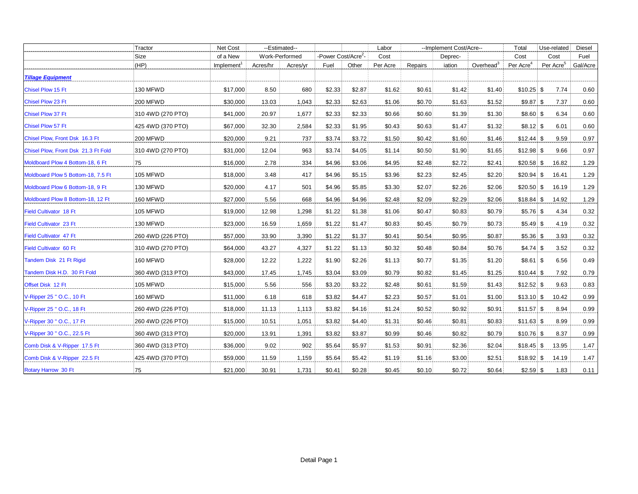|                                     | Tractor           | Net Cost               | --Estimated-- |                |                                 |        | Labor    | --Implement Cost/Acre-- |         |                       | Total                 | Use-related           | Diesel   |
|-------------------------------------|-------------------|------------------------|---------------|----------------|---------------------------------|--------|----------|-------------------------|---------|-----------------------|-----------------------|-----------------------|----------|
|                                     | Size              | of a New               |               | Work-Performed | -Power Cost/Acre <sup>2</sup> - |        | Cost     |                         | Deprec- |                       | Cost                  | Cost                  | Fuel     |
|                                     | (HP)              | Implement <sup>1</sup> | Acres/hr      | Acres/yr       | Fuel                            | Other  | Per Acre | Repairs                 | iation  | Overhead <sup>3</sup> | Per Acre <sup>4</sup> | Per Acre <sup>5</sup> | Gal/Acre |
| <b>Tillage Equipment</b>            |                   |                        |               |                |                                 |        |          |                         |         |                       |                       |                       |          |
| <b>Chisel Plow 15 Ft</b>            | 130 MFWD          | \$17,000               | 8.50          | 680            | \$2.33                          | \$2.87 | \$1.62   | \$0.61                  | \$1.42  | \$1.40                | $$10.25$ \$           | 7.74                  | 0.60     |
| <b>Chisel Plow 23 Ft</b>            | 200 MFWD          | \$30,000               | 13.03         | 1,043          | \$2.33                          | \$2.63 | \$1.06   | \$0.70                  | \$1.63  | \$1.52                | $$9.87$ \ $$$         | 7.37                  | 0.60     |
| <b>Chisel Plow 37 Ft</b>            | 310 4WD (270 PTO) | \$41,000               | 20.97         | 1.677          | \$2.33                          | \$2.33 | \$0.66   | \$0.60                  | \$1.39  | \$1.30                | $$8.60 $ \$           | 6.34                  | 0.60     |
| <b>Chisel Plow 57 Ft</b>            | 425 4WD (370 PTO) | \$67,000               | 32.30         | 2,584          | \$2.33                          | \$1.95 | \$0.43   | \$0.63                  | \$1.47  | \$1.32                | $$8.12$ \ \$          | 6.01                  | 0.60     |
| Chisel Plow, Front Dsk 16.3 Ft      | 200 MFWD          | \$20,000               | 9.21          | 737            | \$3.74                          | \$3.72 | \$1.50   | \$0.42                  | \$1.60  | \$1.46                | $$12.44$ \ \$         | 9.59                  | 0.97     |
| Chisel Plow, Front Dsk 21.3 Ft Fold | 310 4WD (270 PTO) | \$31,000               | 12.04         | 963            | \$3.74                          | \$4.05 | \$1.14   | \$0.50                  | \$1.90  | \$1.65                | $$12.98$ \ \$         | 9.66                  | 0.97     |
| Moldboard Plow 4 Bottom-18, 6 Ft    | 75                | \$16,000               | 2.78          | 334            | \$4.96                          | \$3.06 | \$4.95   | \$2.48                  | \$2.72  | \$2.41                |                       | 16.82                 | 1.29     |
| Moldboard Plow 5 Bottom-18, 7.5 Ft  | 105 MFWD          | \$18,000               | 3.48          | 417            | \$4.96                          | \$5.15 | \$3.96   | \$2.23                  | \$2.45  | \$2.20                | $$20.94$ \ \$         | 16.41                 | 1.29     |
| Moldboard Plow 6 Bottom-18, 9 Ft    | 130 MFWD          | \$20,000               | 4.17          | 501            | \$4.96                          | \$5.85 | \$3.30   | \$2.07                  | \$2.26  | \$2.06                | $$20.50$ \ \$         | 16.19                 | 1.29     |
| Moldboard Plow 8 Bottom-18, 12 Ft   | 160 MFWD          | \$27,000               | 5.56          | 668            | \$4.96                          | \$4.96 | \$2.48   | \$2.09                  | \$2.29  | \$2.06                | $$18.84$ \ \$         | 14.92                 | 1.29     |
| Field Cultivator 18 Ft              | 105 MFWD          | \$19,000               | 12.98         | 1,298          | \$1.22                          | \$1.38 | \$1.06   | \$0.47                  | \$0.83  | \$0.79                | $$5.76$ \ \$          | 4.34                  | 0.32     |
| <b>Field Cultivator 23 Ft</b>       | 130 MFWD          | \$23,000               | 16.59         | 1,659          | \$1.22                          | \$1.47 | \$0.83   | \$0.45                  | \$0.79  | \$0.73                | $$5.49$ $$$           | 4.19                  | 0.32     |
| Field Cultivator 47 Ft              | 260 4WD (226 PTO) | \$57,000               | 33.90         | 3,390          | \$1.22                          | \$1.37 | \$0.41   | \$0.54                  | \$0.95  | \$0.87                | $$5.36 $ \$           | 3.93                  | 0.32     |
| Field Cultivator 60 Ft              | 310 4WD (270 PTO) | \$64,000               | 43.27         | 4,327          | \$1.22                          | \$1.13 | \$0.32   | \$0.48                  | \$0.84  | \$0.76                | $$4.74$ $$$           | 3.52                  | 0.32     |
| Tandem Disk 21 Ft Rigid             | 160 MFWD          | \$28,000               | 12.22         | 1,222          | \$1.90                          | \$2.26 | \$1.13   | \$0.77                  | \$1.35  | \$1.20                | $$8.61$ \ \$          | 6.56                  | 0.49     |
| Tandem Disk H.D. 30 Ft Fold         | 360 4WD (313 PTO) | \$43,000               | 17.45         | 1,745          | \$3.04                          | \$3.09 | \$0.79   | \$0.82                  | \$1.45  | \$1.25                | $$10.44$ \$           | 7.92                  | 0.79     |
| Offset Disk 12 Ft                   | <b>105 MFWD</b>   | \$15,000               | 5.56          | 556            | \$3.20                          | \$3.22 | \$2.48   | \$0.61                  | \$1.59  | \$1.43                |                       | 9.63                  | 0.83     |
| V-Ripper 25 " O.C., 10 Ft           | 160 MFWD          | \$11,000               | 6.18          | 618            | \$3.82                          | \$4.47 | \$2.23   | \$0.57                  | \$1.01  | \$1.00                | $$13.10$ $$$          | 10.42                 | 0.99     |
| V-Ripper 25 " O.C., 18 Ft           | 260 4WD (226 PTO) | \$18,000               | 11.13         | 1,113          | \$3.82                          | \$4.16 | \$1.24   | \$0.52                  | \$0.92  | \$0.91                | $$11.57$ \ \$         | 8.94                  | 0.99     |
| V-Ripper 30 " O.C., 17 Ft           | 260 4WD (226 PTO) | \$15,000               | 10.51         | 1,051          | \$3.82                          | \$4.40 | \$1.31   | \$0.46                  | \$0.81  | \$0.83                | $$11.63$ \$           | 8.99                  | 0.99     |
| V-Ripper 30 " O.C., 22.5 Ft         | 360 4WD (313 PTO) | \$20,000               | 13.91         | 1,391          | \$3.82                          | \$3.87 | \$0.99   | \$0.46                  | \$0.82  | \$0.79                | $$10.76$ \ \$         | 8.37                  | 0.99     |
| Comb Disk & V-Ripper 17.5 Ft        | 360 4WD (313 PTO) | \$36,000               | 9.02          | 902            | \$5.64                          | \$5.97 | \$1.53   | \$0.91                  | \$2.36  | \$2.04                | $$18.45$ \ \$         | 13.95                 | 1.47     |
| Comb Disk & V-Ripper 22.5 Ft        | 425 4WD (370 PTO) | \$59,000               | 11.59         | 1,159          | \$5.64                          | \$5.42 | \$1.19   | \$1.16                  | \$3.00  | \$2.51                | $$18.92$ \ \$         | 14.19                 | 1.47     |
| Rotary Harrow 30 Ft                 | 75                | \$21,000               | 30.91         | 1,731          | \$0.41                          | \$0.28 | \$0.45   | \$0.10                  | \$0.72  | \$0.64                | $$2.59$ \ \$          | 1.83                  | 0.11     |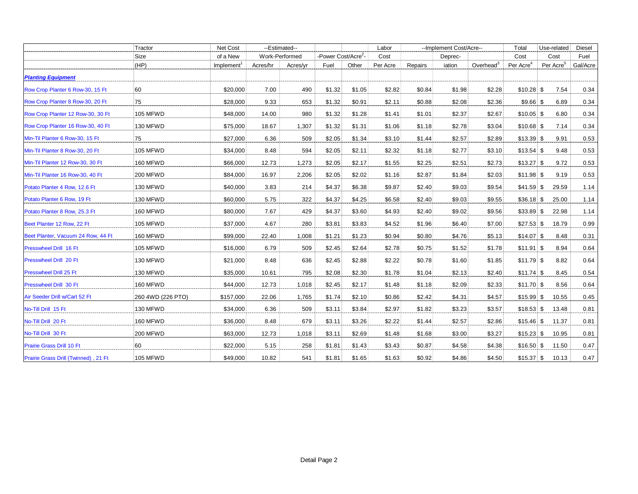|                                      | Tractor           | Net Cost               | --Estimated-- |                |                                 |        | Labor    |         |        | --Implement Cost/Acre-- |                       | Use-related           | Diesel   |
|--------------------------------------|-------------------|------------------------|---------------|----------------|---------------------------------|--------|----------|---------|--------|-------------------------|-----------------------|-----------------------|----------|
|                                      | Size              | of a New               |               | Work-Performed | -Power Cost/Acre <sup>2</sup> - |        | Cost     | Deprec- |        |                         | Cost                  | Cost                  | Fuel     |
|                                      | (HP)              | Implement <sup>1</sup> | Acres/hr      | Acres/yr       | Fuel                            | Other  | Per Acre | Repairs | iation | Overhead <sup>3</sup>   | Per Acre <sup>4</sup> | Per Acre <sup>5</sup> | Gal/Acre |
| <b>Planting Equipment</b>            |                   |                        |               |                |                                 |        |          |         |        |                         |                       |                       |          |
| Row Crop Planter 6 Row-30, 15 Ft     | 60                | \$20,000               | 7.00          | 490            | \$1.32                          | \$1.05 | \$2.82   | \$0.84  | \$1.98 | \$2.28                  | $$10.28$ \ \$         | 7.54                  | 0.34     |
| Row Crop Planter 8 Row-30, 20 Ft     | 75                | \$28,000               | 9.33          | 653            | \$1.32                          | \$0.91 | \$2.11   | \$0.88  | \$2.08 | \$2.36                  | $$9.66 $ \$           | 6.89                  | 0.34     |
| Row Crop Planter 12 Row-30, 30 Ft    | <b>105 MFWD</b>   | \$48,000               | 14.00         | 980            | \$1.32                          | \$1.28 | \$1.41   | \$1.01  | \$2.37 | \$2.67                  | $$10.05$ \$           | 6.80                  | 0.34     |
| Row Crop Planter 16 Row-30, 40 Ft    | 130 MFWD          | \$75,000               | 18.67         | 1,307          | \$1.32                          | \$1.31 | \$1.06   | \$1.18  | \$2.78 | \$3.04                  | $$10.68$ \ \$         | 7.14                  | 0.34     |
| Min-Til Planter 6 Row-30, 15 Ft      | 75                | \$27,000               | 6.36          | 509            | \$2.05                          | \$1.34 | \$3.10   | \$1.44  | \$2.57 | \$2.89                  | $$13.39$ \ \$         | 9.91                  | 0.53     |
| Min-Til Planter 8 Row-30, 20 Ft      | 105 MFWD          | \$34,000               | 8.48          | 594            | \$2.05                          | \$2.11 | \$2.32   | \$1.18  | \$2.77 | \$3.10                  | $$13.54$ \$           | 9.48                  | 0.53     |
| Min-Til Planter 12 Row-30, 30 Ft     | 160 MFWD          | \$66,000               | 12.73         | 1,273          | \$2.05                          | \$2.17 | \$1.55   | \$2.25  | \$2.51 | \$2.73                  |                       | 9.72                  | 0.53     |
| Min-Til Planter 16 Row-30, 40 Ft     | <b>200 MFWD</b>   | \$84,000               | 16.97         | 2,206          | \$2.05                          | \$2.02 | \$1.16   | \$2.87  | \$1.84 | \$2.03                  | $$11.98$ \$           | 9.19                  | 0.53     |
| Potato Planter 4 Row, 12.6 Ft        | 130 MFWD          | \$40,000               | 3.83          | 214            | \$4.37                          | \$6.38 | \$9.87   | \$2.40  | \$9.03 | \$9.54                  | $$41.59$ \ \$         | 29.59                 | 1.14     |
| Potato Planter 6 Row, 19 Ft          | 130 MFWD          | \$60,000               | 5.75          | 322            | \$4.37                          | \$4.25 | \$6.58   | \$2.40  | \$9.03 | \$9.55                  | \$36.18\$             | 25.00                 | 1.14     |
| Potato Planter 8 Row, 25.3 Ft        | 160 MFWD          | \$80,000               | 7.67          | 429            | \$4.37                          | \$3.60 | \$4.93   | \$2.40  | \$9.02 | \$9.56                  | $$33.89$ \ \$         | 22.98                 | 1.14     |
| Beet Planter 12 Row, 22 Ft           | 105 MFWD          | \$37,000               | 4.67          | 280            | \$3.81                          | \$3.83 | \$4.52   | \$1.96  | \$6.40 | \$7.00                  | $$27.53$ \ $$$        | 18.79                 | 0.99     |
| Beet Planter, Vacuum 24 Row, 44 Ft   | 160 MFWD          | \$99,000               | 22.40         | 1,008          | \$1.21                          | \$1.23 | \$0.94   | \$0.80  | \$4.76 | \$5.13                  | $$14.07$ \ \$         | 8.48                  | 0.31     |
| Presswheel Drill 16 Ft               | <b>105 MFWD</b>   | \$16,000               | 6.79          | 509            | \$2.45                          | \$2.64 | \$2.78   | \$0.75  | \$1.52 | \$1.78                  | $$11.91$ \ \$         | 8.94                  | 0.64     |
| Presswheel Drill 20 Ft               | 130 MFWD          | \$21,000               | 8.48          | 636            | \$2.45                          | \$2.88 | \$2.22   | \$0.78  | \$1.60 | \$1.85                  | $$11.79$ \ \$         | 8.82                  | 0.64     |
| Presswheel Drill 25 Ft               | 130 MFWD          | \$35,000               | 10.61         | 795            | \$2.08                          | \$2.30 | \$1.78   | \$1.04  | \$2.13 | \$2.40                  | $$11.74$ \$           | 8.45                  | 0.54     |
| Presswheel Drill 30 Ft               | 160 MFWD          | \$44,000               | 12.73         | 1,018          | \$2.45                          | \$2.17 | \$1.48   | \$1.18  | \$2.09 | \$2.33                  | $$11.70$ \ \$         | 8.56                  | 0.64     |
| Air Seeder Drill w/Cart 52 Ft        | 260 4WD (226 PTO) | \$157,000              | 22.06         | 1,765          | \$1.74                          | \$2.10 | \$0.86   | \$2.42  | \$4.31 | \$4.57                  | $$15.99$ \$           | 10.55                 | 0.45     |
| No-Till Drill 15 Ft                  | 130 MFWD          | \$34,000               | 6.36          | 509            | \$3.11                          | \$3.84 | \$2.97   | \$1.82  | \$3.23 | \$3.57                  | $$18.53$ \ \$         | 13.48                 | 0.81     |
| No-Till Drill 20 Ft                  | <b>160 MFWD</b>   | \$36,000               | 8.48          | 679            | \$3.11                          | \$3.26 | \$2.22   | \$1.44  | \$2.57 | \$2.86                  | $$15.46$ \$           | 11.37                 | 0.81     |
| No-Till Drill 30 Ft                  | 200 MFWD          | \$63,000               | 12.73         | 1,018          | \$3.11                          | \$2.69 | \$1.48   | \$1.68  | \$3.00 | \$3.27                  |                       | 10.95                 | 0.81     |
| <b>Prairie Grass Drill 10 Ft</b>     | 60                | \$22,000               | 5.15          | 258            | \$1.81                          | \$1.43 | \$3.43   | \$0.87  | \$4.58 | \$4.38                  | $$16.50$ \$           | 11.50                 | $0.47\,$ |
| Prairie Grass Drill (Twinned), 21 Ft | <b>105 MFWD</b>   | \$49,000               | 10.82         | 541            | \$1.81                          | \$1.65 | \$1.63   | \$0.92  | \$4.86 | \$4.50                  |                       | 10.13                 | 0.47     |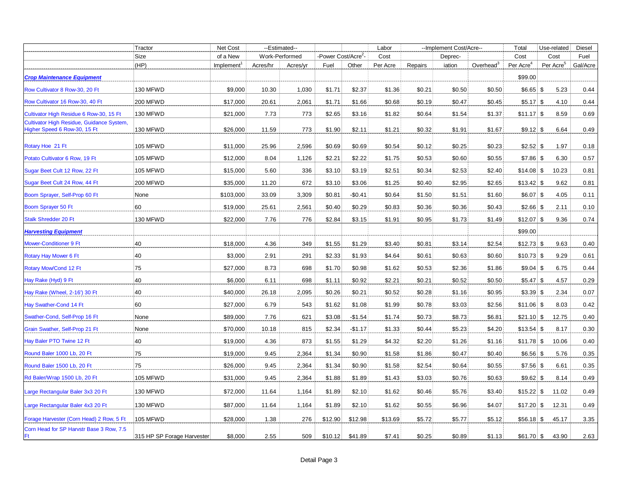|                                                                           | Tractor                    | Net Cost  |          | --Estimated--  |                               |          | Labor    | --Implement Cost/Acre-- |         |                       | Total                 | Use-related           | Diesel   |
|---------------------------------------------------------------------------|----------------------------|-----------|----------|----------------|-------------------------------|----------|----------|-------------------------|---------|-----------------------|-----------------------|-----------------------|----------|
|                                                                           | Size                       | of a New  |          | Work-Performed | -Power Cost/Acre <sup>2</sup> |          | Cost     |                         | Deprec- |                       | Cost                  | Cost                  | Fuel     |
|                                                                           | (HP)                       | Implement | Acres/hr | Acres/yr       | Fuel                          | Other    | Per Acre | Repairs                 | iation  | Overhead <sup>3</sup> | Per Acre <sup>4</sup> | Per Acre <sup>5</sup> | Gal/Acre |
| <b>Crop Maintenance Equipment</b>                                         |                            |           |          |                |                               |          |          |                         |         |                       | \$99.00               |                       |          |
| Row Cultivator 8 Row-30, 20 Ft                                            | 130 MFWD                   | \$9,000   | 10.30    | 1,030          | \$1.71                        | \$2.37   | \$1.36   | \$0.21                  | \$0.50  | \$0.50                | $$6.65$ \ \$          | 5.23                  | 0.44     |
| Row Cultivator 16 Row-30, 40 Ft                                           | 200 MFWD                   | \$17,000  | 20.61    | 2,061          | \$1.71                        | \$1.66   | \$0.68   | \$0.19                  | \$0.47  | \$0.45                | $$5.17$ \ \$          | 4.10                  | 0.44     |
| Cultivator High Residue 6 Row-30, 15 Ft                                   | 130 MFWD                   | \$21,000  | 7.73     | 773            | \$2.65                        | \$3.16   | \$1.82   | \$0.64                  | \$1.54  | \$1.37                | $$11.17$ \ \$         | 8.59                  | 0.69     |
| Cultivator High Residue, Guidance System,<br>Higher Speed 6 Row-30, 15 Ft | 130 MFWD                   | \$26,000  | 11.59    | 773            | \$1.90                        | \$2.11   | \$1.21   | \$0.32                  | \$1.91  | \$1.67                | $$9.12$ \ \$          | 6.64                  | 0.49     |
| Rotary Hoe 21 Ft                                                          | 105 MFWD                   | \$11,000  | 25.96    | 2,596          | \$0.69                        | \$0.69   | \$0.54   | \$0.12                  | \$0.25  | \$0.23                | $$2.52$ \ $$$         | 1.97                  | 0.18     |
| Potato Cultivator 6 Row, 19 Ft                                            | <b>105 MFWD</b>            | \$12,000  | 8.04     | 1,126          | \$2.21                        | \$2.22   | \$1.75   | \$0.53                  | \$0.60  | \$0.55                | $$7.86 $ \$           | 6.30                  | 0.57     |
| Sugar Beet Cult 12 Row, 22 Ft                                             | 105 MFWD                   | \$15,000  | 5.60     | 336            | \$3.10                        | \$3.19   | \$2.51   | \$0.34                  | \$2.53  | \$2.40                |                       | 10.23                 | 0.81     |
| Sugar Beet Cult 24 Row, 44 Ft                                             | <b>200 MFWD</b>            | \$35,000  | 11.20    | 672            | \$3.10                        | \$3.06   | \$1.25   | \$0.40                  | \$2.95  | \$2.65                | $$13.42$ \ \$         | 9.62                  | 0.81     |
| Boom Sprayer, Self-Prop 60 Ft                                             | None                       | \$103,000 | 33.09    | 3,309          | \$0.81                        | $-$0.41$ | \$0.64   | \$1.50                  | \$1.51  | \$1.60                | $$6.07$ \ \$          | 4.05                  | 0.11     |
| Boom Sprayer 50 Ft                                                        | 60                         | \$19,000  | 25.61    | 2,561          | \$0.40                        | \$0.29   | \$0.83   | \$0.36                  | \$0.36  | \$0.43                | $$2.66 $ \$           | 2.11                  | 0.10     |
| <b>Stalk Shredder 20 Ft</b>                                               | 130 MFWD                   | \$22,000  | 7.76     | 776            | \$2.84                        | \$3.15   | \$1.91   | \$0.95                  | \$1.73  | \$1.49                | $$12.07$ \$           | 9.36                  | 0.74     |
| <b>Harvesting Equipment</b>                                               |                            |           |          |                |                               |          |          |                         |         |                       | \$99.00               |                       |          |
| <b>Mower-Conditioner 9 Ft</b>                                             | 40                         | \$18,000  | 4.36     | 349            | \$1.55                        | \$1.29   | \$3.40   | \$0.81                  | \$3.14  | \$2.54                | $$12.73$ \$           | 9.63                  | 0.40     |
| <b>Rotary Hay Mower 6 Ft</b>                                              | 40                         | \$3,000   | 2.91     | 291            | \$2.33                        | \$1.93   | \$4.64   | \$0.61                  | \$0.63  | \$0.60                | $$10.73$ \$           | 9.29                  | 0.61     |
| Rotary Mow/Cond 12 Ft                                                     | 75                         | \$27,000  | 8.73     | 698            | \$1.70                        | \$0.98   | \$1.62   | \$0.53                  | \$2.36  | \$1.86                | $$9.04$ \$            | 6.75                  | 0.44     |
| Hay Rake (Hyd) 9 Ft                                                       | 40                         | \$6,000   | 6.11     | 698            | \$1.11                        | \$0.92   | \$2.21   | \$0.21                  | \$0.52  | \$0.50                | $$5.47$ \ \$          | 4.57                  | 0.29     |
| Hay Rake (Wheel, 2-16') 30 Ft                                             | 40                         | \$40,000  | 26.18    | 2,095          | \$0.26                        | \$0.21   | \$0.52   | \$0.28                  | \$1.16  | \$0.95                | $$3.39$ \ \$          | 2.34                  | 0.07     |
| Hay Swather-Cond 14 Ft                                                    | 60                         | \$27,000  | 6.79     | 543            | \$1.62                        | \$1.08   | \$1.99   | \$0.78                  | \$3.03  | \$2.56                | $$11.06$ \ \$         | 8.03                  | 0.42     |
| Swather-Cond, Self-Prop 16 Ft                                             | None                       | \$89,000  | 7.76     | 621            | \$3.08                        | $-$1.54$ | \$1.74   | \$0.73                  | \$8.73  | \$6.81                | $$21.10$ \ \$         | 12.75                 | 0.40     |
| Grain Swather, Self-Prop 21 Ft                                            | None                       | \$70,000  | 10.18    | 815            | \$2.34                        | $-$1.17$ | \$1.33   | \$0.44                  | \$5.23  | \$4.20                | $$13.54$ \ \$         | 8.17                  | $0.30\,$ |
| Hay Baler PTO Twine 12 Ft                                                 | 40                         | \$19,000  | 4.36     | 873            | \$1.55                        | \$1.29   | \$4.32   | \$2.20                  | \$1.26  | \$1.16                | $$11.78$ \$           | 10.06                 | 0.40     |
| Round Baler 1000 Lb, 20 Ft                                                | 75                         | \$19,000  | 9.45     | 2,364          | \$1.34                        | \$0.90   | \$1.58   | \$1.86                  | \$0.47  | \$0.40                | $$6.56$ \ \$          | 5.76                  | 0.35     |
| Round Baler 1500 Lb, 20 Ft                                                | 75                         | \$26,000  | 9.45     | 2,364          | \$1.34                        | \$0.90   | \$1.58   | \$2.54                  | \$0.64  | \$0.55                | $$7.56$ \ \$          | 6.61                  | 0.35     |
| Rd Baler/Wrap 1500 Lb, 20 Ft                                              | 105 MFWD                   | \$31,000  | 9.45     | 2,364          | \$1.88                        | \$1.89   | \$1.43   | \$3.03                  | \$0.76  | \$0.63                | $$9.62 $ \$           | 8.14                  | 0.49     |
| Large Rectangular Baler 3x3 20 Ft                                         | 130 MFWD                   | \$72,000  | 11.64    | 1,164          | \$1.89                        | \$2.10   | \$1.62   | \$0.46                  | \$5.76  | \$3.40                |                       | 11.02                 | 0.49     |
| Large Rectangular Baler 4x3 20 Ft                                         | 130 MFWD                   | \$87,000  | 11.64    | 1,164          | \$1.89                        | \$2.10   | \$1.62   | \$0.55                  | \$6.96  | \$4.07                | $$17.20$ \ \$         | 12.31                 | 0.49     |
| Forage Harvester (Corn Head) 2 Row, 5 Ft                                  | <b>105 MFWD</b>            | \$28,000  | 1.38     | 276            | \$12.90                       | \$12.98  | \$13.69  | \$5.72                  | \$5.77  | \$5.12                | $$56.18$ \ \$         | 45.17                 | 3.35     |
| Corn Head for SP Harvstr Base 3 Row, 7.5<br>Ft                            | 315 HP SP Forage Harvester | \$8,000   | 2.55     | 509            | \$10.12                       | \$41.89  | \$7.41   | \$0.25                  | \$0.89  | \$1.13                | $$61.70$ \ \$         | 43.90                 | 2.63     |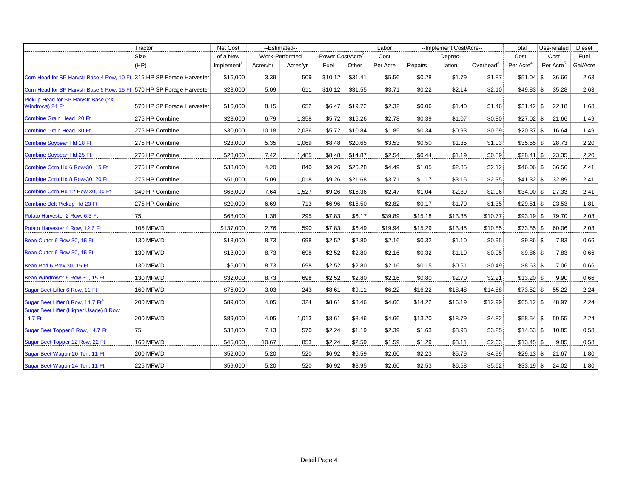| Tractor                                                               |                            | Net Cost               |          | --Estimated--  |                                 |         | Labor    |         | --Implement Cost/Acre-- |              | Total                 | Use-related           | Diesel   |
|-----------------------------------------------------------------------|----------------------------|------------------------|----------|----------------|---------------------------------|---------|----------|---------|-------------------------|--------------|-----------------------|-----------------------|----------|
|                                                                       | Size                       | of a New               |          | Work-Performed | -Power Cost/Acre <sup>2</sup> - |         | Cost     |         | Deprec-                 |              | Cost                  | Cost                  | Fuel     |
|                                                                       | (HP)                       | Implement <sup>1</sup> | Acres/hr | Acres/yr       | Fuel                            | Other   | Per Acre | Repairs | iation                  | Overhead $3$ | Per Acre <sup>4</sup> | Per Acre <sup>5</sup> | Gal/Acre |
| Corn Head for SP Harvstr Base 4 Row, 10 Ft 315 HP SP Forage Harvester |                            | \$16,000               | 3.39     | 509            | \$10.12                         | \$31.41 | \$5.56   | \$0.28  | \$1.79                  | \$1.87       | $$51.04$ \ \$         | 36.66                 | 2.63     |
| Corn Head for SP Harvstr Base 6 Row, 15 Ft 570 HP SP Forage Harvester |                            | \$23,000               | 5.09     | 611            | \$10.12                         | \$31.55 | \$3.71   | \$0.22  | \$2.14                  | \$2.10       | $$49.83$ \$           | 35.28                 | 2.63     |
| Pickup Head for SP Harvstr Base (2X)<br>Windrows) 24 Ft               | 570 HP SP Forage Harvester | \$16,000               | 8.15     | 652            | \$6.47                          | \$19.72 | \$2.32   | \$0.06  | \$1.40                  | \$1.46       | $$31.42$ \ \$         | 22.18                 | 1.68     |
| Combine Grain Head 20 Ft                                              | 275 HP Combine             | \$23,000               | 6.79     | 1,358          | \$5.72                          | \$16.26 | \$2.78   | \$0.39  | \$1.07                  | \$0.80       | $$27.02$$ \$          | 21.66                 | 1.49     |
| Combine Grain Head 30 Ft                                              | 275 HP Combine             | \$30,000               | 10.18    | 2,036          | \$5.72                          | \$10.84 | \$1.85   | \$0.34  | \$0.93                  | \$0.69       | $$20.37$ \\$          | 16.64                 | 1.49     |
| Combine Soybean Hd 18 Ft                                              | 275 HP Combine             | \$23,000               | 5.35     | 1,069          | \$8.48                          | \$20.65 | \$3.53   | \$0.50  | \$1.35                  | \$1.03       | $$35.55$ \\$          | 28.73                 | 2.20     |
| Combine Soybean Hd 25 Ft                                              | 275 HP Combine             | \$28,000               | 7.42     | 1,485          | \$8.48                          | \$14.87 | \$2.54   | \$0.44  | \$1.19                  | \$0.89       | $$28.41$ \\$          | 23.35                 | 2.20     |
| Combine Corn Hd 6 Row-30, 15 Ft                                       | 275 HP Combine             | \$38,000               | 4.20     | 840            | \$9.26                          | \$26.28 | \$4.49   | \$1.05  | \$2.85                  | \$2.12       | $$46.06$ \$           | 36.56                 | 2.41     |
| Combine Corn Hd 8 Row-30, 20 Ft                                       | 275 HP Combine             | \$51,000               | 5.09     | 1,018          | \$9.26                          | \$21.68 | \$3.71   | \$1.17  | \$3.15                  | \$2.35       | $$41.32$ \ \$         | 32.89                 | 2.41     |
| Combine Corn Hd 12 Row-30, 30 Ft                                      | 340 HP Combine             | \$68,000               | 7.64     | 1,527          | \$9.26                          | \$16.36 | \$2.47   | \$1.04  | \$2.80                  | \$2.06       | $$34.00$ \\$          | 27.33                 | 2.41     |
| Combine Belt Pickup Hd 23 Ft                                          | 275 HP Combine             | \$20,000               | 6.69     | 713            | \$6.96                          | \$16.50 | \$2.82   | \$0.17  | \$1.70                  | \$1.35       | $$29.51$ \\$          | 23.53                 | 1.81     |
| Potato Harvester 2 Row, 6.3 Ft                                        | 75                         | \$68,000               | 1.38     | 295            | \$7.83                          | \$6.17  | \$39.89  | \$15.18 | \$13.35                 | \$10.77      | $$93.19$ \$           | 79.70                 | 2.03     |
| Potato Harvester 4 Row, 12.6 Ft                                       | 105 MFWD                   | \$137,000              | 2.76     | 590            | \$7.83                          | \$6.49  | \$19.94  | \$15.29 | \$13.45                 | \$10.85      | $$73.85 \;   \; $$    | 60.06                 | 2.03     |
| Bean Cutter 6 Row-30, 15 Ft                                           | 130 MFWD                   | \$13,000               | 8.73     | 698            | \$2.52                          | \$2.80  | \$2.16   | \$0.32  | \$1.10                  | \$0.95       | $$9.86 $ \$           | 7.83                  | 0.66     |
| Bean Cutter 6 Row-30, 15 Ft                                           | 130 MFWD                   | \$13,000               | 8.73     | 698            | \$2.52                          | \$2.80  | \$2.16   | \$0.32  | \$1.10                  | \$0.95       | $$9.86 $ \$           | 7.83                  | 0.66     |
| Bean Rod 6 Row-30, 15 Ft                                              | 130 MFWD                   | \$6,000                | 8.73     | 698            | \$2.52                          | \$2.80  | \$2.16   | \$0.15  | \$0.51                  | \$0.49       | \$8.63\$              | 7.06                  | 0.66     |
| Bean Windrower 6 Row-30, 15 Ft                                        | 130 MFWD                   | \$32,000               | 8.73     | 698            | \$2.52                          | \$2.80  | \$2.16   | \$0.80  | \$2.70                  | \$2.21       | $$13.20$ \ \$         | 9.90                  | 0.66     |
| Sugar Beet Lifter 6 Row, 11 Ft                                        | 160 MFWD                   | \$76,000               | 3.03     | 243            | \$8.61                          | \$9.11  | \$6.22   | \$16.22 | \$18.48                 | \$14.88      | $$73.52$ \ \$         | 55.22                 | 2.24     |
| Sugar Beet Lifter 8 Row, 14.7 Ft <sup>6</sup>                         | <b>200 MFWD</b>            | \$89,000               | 4.05     | 324            | \$8.61                          | \$8.46  | \$4.66   | \$14.22 | \$16.19                 | \$12.99      | $$65.12$ \ \$         | 48.97                 | 2.24     |
| Sugar Beet Lifter (Higher Usage) 8 Row,<br>14.7 $Ft^6$                | <b>200 MFWD</b>            | \$89,000               | 4.05     | 1,013          | \$8.61                          | \$8.46  | \$4.66   | \$13.20 | \$18.79                 | \$4.82       | $$58.54$ \\$          | 50.55                 | 2.24     |
| Sugar Beet Topper 8 Row, 14.7 Ft                                      | 75                         | \$38,000               | 7.13     | 570            | \$2.24                          | \$1.19  | \$2.39   | \$1.63  | \$3.93                  | \$3.25       | $$14.63$ \ \$         | 10.85                 | 0.58     |
| Sugar Beet Topper 12 Row, 22 Ft                                       | 160 MFWD                   | \$45,000               | 10.67    | 853            | \$2.24                          | \$2.59  | \$1.59   | \$1.29  | \$3.11                  | \$2.63       | $$13.45$ \ \$         | 9.85                  | $0.58\,$ |
| Sugar Beet Wagon 20 Ton, 11 Ft                                        | <b>200 MFWD</b>            | \$52,000               | 5.20     | 520            | \$6.92                          | \$6.59  | \$2.60   | \$2.23  | \$5.79                  | \$4.99       | $$29.13$ \ $$$        | 21.67                 | 1.80     |
| Sugar Beet Wagon 24 Ton, 11 Ft                                        | <b>225 MFWD</b>            | \$59,000               | 5.20     | 520            | \$6.92                          | \$8.95  | \$2.60   | \$2.53  | \$6.58                  | \$5.62       | $$33.19$ \ \$         | 24.02                 | 1.80     |